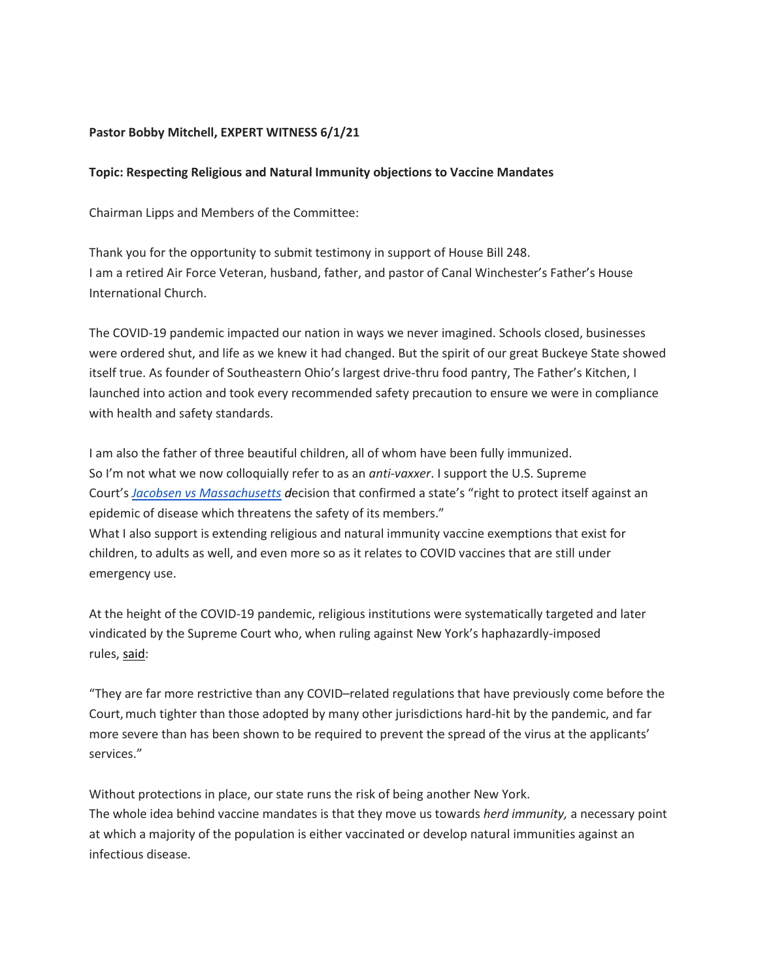## **Pastor Bobby Mitchell, EXPERT WITNESS 6/1/21**

## **Topic: Respecting Religious and Natural Immunity objections to Vaccine Mandates**

Chairman Lipps and Members of the Committee:

Thank you for the opportunity to submit testimony in support of House Bill 248. I am a retired Air Force Veteran, husband, father, and pastor of Canal Winchester's Father's House International Church.

The COVID-19 pandemic impacted our nation in ways we never imagined. Schools closed, businesses were ordered shut, and life as we knew it had changed. But the spirit of our great Buckeye State showed itself true. As founder of Southeastern Ohio's largest drive-thru food pantry, The Father's Kitchen, I launched into action and took every recommended safety precaution to ensure we were in compliance with health and safety standards.

I am also the father of three beautiful children, all of whom have been fully immunized. So I'm not what we now colloquially refer to as an *anti-vaxxer*. I support the U.S. Supreme Court's *[Jacobsen vs Massachusetts](https://constitutioncenter.org/interactive-constitution/blog/on-this-day-the-supreme-court-rules-on-vaccines-and-public-health) d*ecision that confirmed a state's "right to protect itself against an epidemic of disease which threatens the safety of its members." What I also support is extending religious and natural immunity vaccine exemptions that exist for children, to adults as well, and even more so as it relates to COVID vaccines that are still under emergency use.

At the height of the COVID-19 pandemic, religious institutions were systematically targeted and later vindicated by the Supreme Court who, when ruling against New York's haphazardly-imposed rules, [said:](https://www.supremecourt.gov/opinions/20pdf/20a87_4g15.pdf)

"They are far more restrictive than any COVID–related regulations that have previously come before the Court, much tighter than those adopted by many other jurisdictions hard-hit by the pandemic, and far more severe than has been shown to be required to prevent the spread of the virus at the applicants' services."

Without protections in place, our state runs the risk of being another New York. The whole idea behind vaccine mandates is that they move us towards *herd immunity,* a necessary point at which a majority of the population is either vaccinated or develop natural immunities against an infectious disease.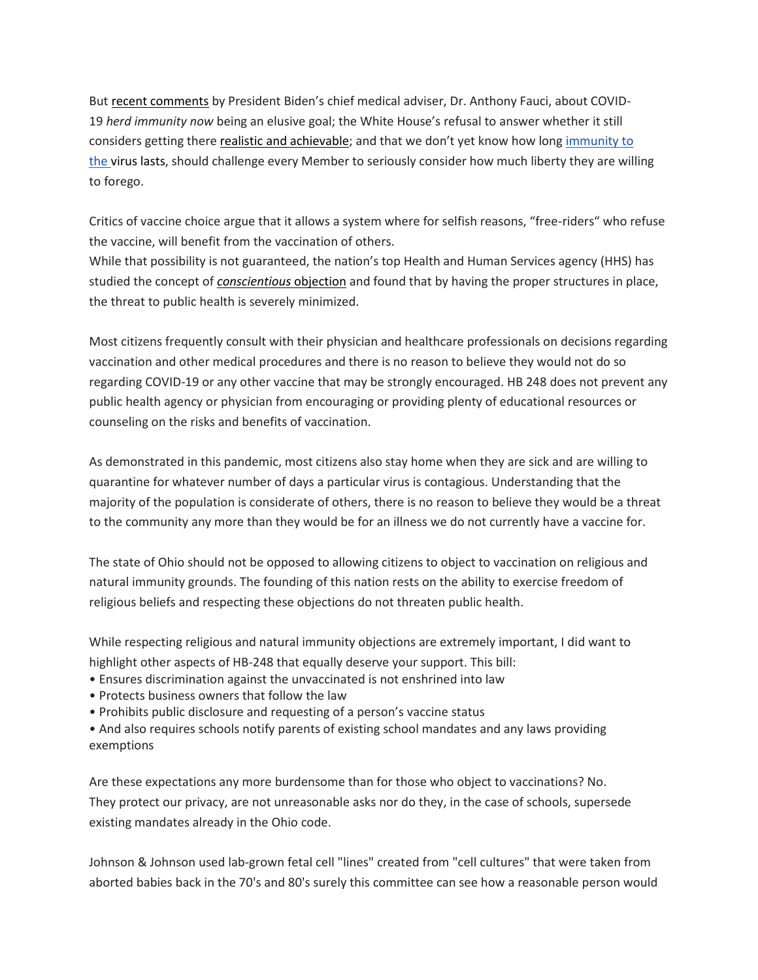But [recent comments](https://www.marketwatch.com/story/is-herd-immunity-a-realistic-concept-fauci-calls-it-elusive-and-mystical-11620148465) by President Biden's chief medical adviser, Dr. Anthony Fauci, about COVID-19 *herd immunity now* being an elusive goal; the White House's refusal to answer whether it still considers getting there [realistic and achievable;](https://www.whitehouse.gov/briefing-room/press-briefings/2021/06/02/press-briefing-by-press-secretary-jen-psaki-june-2-2021/) and that we don't yet know how long immunity to [the](https://www.marketwatch.com/story/is-herd-immunity-a-realistic-concept-fauci-calls-it-elusive-and-mystical-11620148465) virus lasts, should challenge every Member to seriously consider how much liberty they are willing to forego.

Critics of vaccine choice argue that it allows a system where for selfish reasons, "free-riders" who refuse the vaccine, will benefit from the vaccination of others.

While that possibility is not guaranteed, the nation's top Health and Human Services agency (HHS) has studied the concept of *[conscientious](https://www.ncbi.nlm.nih.gov/pmc/articles/PMC5324623/)* objection and found that by having the proper structures in place, the threat to public health is severely minimized.

Most citizens frequently consult with their physician and healthcare professionals on decisions regarding vaccination and other medical procedures and there is no reason to believe they would not do so regarding COVID-19 or any other vaccine that may be strongly encouraged. HB 248 does not prevent any public health agency or physician from encouraging or providing plenty of educational resources or counseling on the risks and benefits of vaccination.

As demonstrated in this pandemic, most citizens also stay home when they are sick and are willing to quarantine for whatever number of days a particular virus is contagious. Understanding that the majority of the population is considerate of others, there is no reason to believe they would be a threat to the community any more than they would be for an illness we do not currently have a vaccine for.

The state of Ohio should not be opposed to allowing citizens to object to vaccination on religious and natural immunity grounds. The founding of this nation rests on the ability to exercise freedom of religious beliefs and respecting these objections do not threaten public health.

While respecting religious and natural immunity objections are extremely important, I did want to highlight other aspects of HB-248 that equally deserve your support. This bill:

- Ensures discrimination against the unvaccinated is not enshrined into law
- Protects business owners that follow the law
- Prohibits public disclosure and requesting of a person's vaccine status
- And also requires schools notify parents of existing school mandates and any laws providing exemptions

Are these expectations any more burdensome than for those who object to vaccinations? No. They protect our privacy, are not unreasonable asks nor do they, in the case of schools, supersede existing mandates already in the Ohio code.

Johnson & Johnson used lab-grown fetal cell "lines" created from "cell cultures" that were taken from aborted babies back in the 70's and 80's surely this committee can see how a reasonable person would